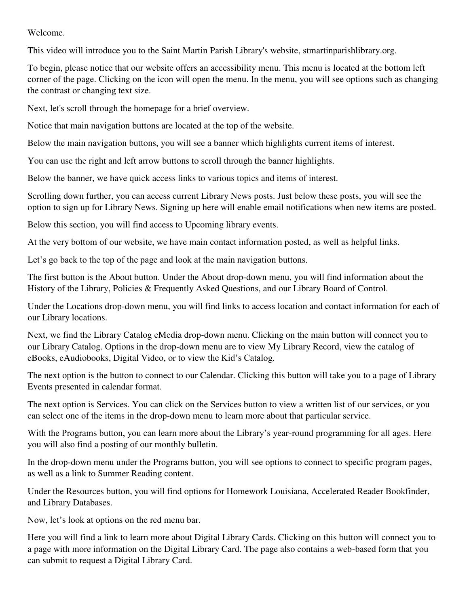## Welcome.

This video will introduce you to the Saint Martin Parish Library's website, stmartinparishlibrary.org.

To begin, please notice that our website offers an accessibility menu. This menu is located at the bottom left corner of the page. Clicking on the icon will open the menu. In the menu, you will see options such as changing the contrast or changing text size.

Next, let's scroll through the homepage for a brief overview.

Notice that main navigation buttons are located at the top of the website.

Below the main navigation buttons, you will see a banner which highlights current items of interest.

You can use the right and left arrow buttons to scroll through the banner highlights.

Below the banner, we have quick access links to various topics and items of interest.

Scrolling down further, you can access current Library News posts. Just below these posts, you will see the option to sign up for Library News. Signing up here will enable email notifications when new items are posted.

Below this section, you will find access to Upcoming library events.

At the very bottom of our website, we have main contact information posted, as well as helpful links.

Let's go back to the top of the page and look at the main navigation buttons.

The first button is the About button. Under the About drop-down menu, you will find information about the History of the Library, Policies & Frequently Asked Questions, and our Library Board of Control.

Under the Locations drop-down menu, you will find links to access location and contact information for each of our Library locations.

Next, we find the Library Catalog eMedia drop-down menu. Clicking on the main button will connect you to our Library Catalog. Options in the drop-down menu are to view My Library Record, view the catalog of eBooks, eAudiobooks, Digital Video, or to view the Kid's Catalog.

The next option is the button to connect to our Calendar. Clicking this button will take you to a page of Library Events presented in calendar format.

The next option is Services. You can click on the Services button to view a written list of our services, or you can select one of the items in the drop-down menu to learn more about that particular service.

With the Programs button, you can learn more about the Library's year-round programming for all ages. Here you will also find a posting of our monthly bulletin.

In the drop-down menu under the Programs button, you will see options to connect to specific program pages, as well as a link to Summer Reading content.

Under the Resources button, you will find options for Homework Louisiana, Accelerated Reader Bookfinder, and Library Databases.

Now, let's look at options on the red menu bar.

Here you will find a link to learn more about Digital Library Cards. Clicking on this button will connect you to a page with more information on the Digital Library Card. The page also contains a web-based form that you can submit to request a Digital Library Card.